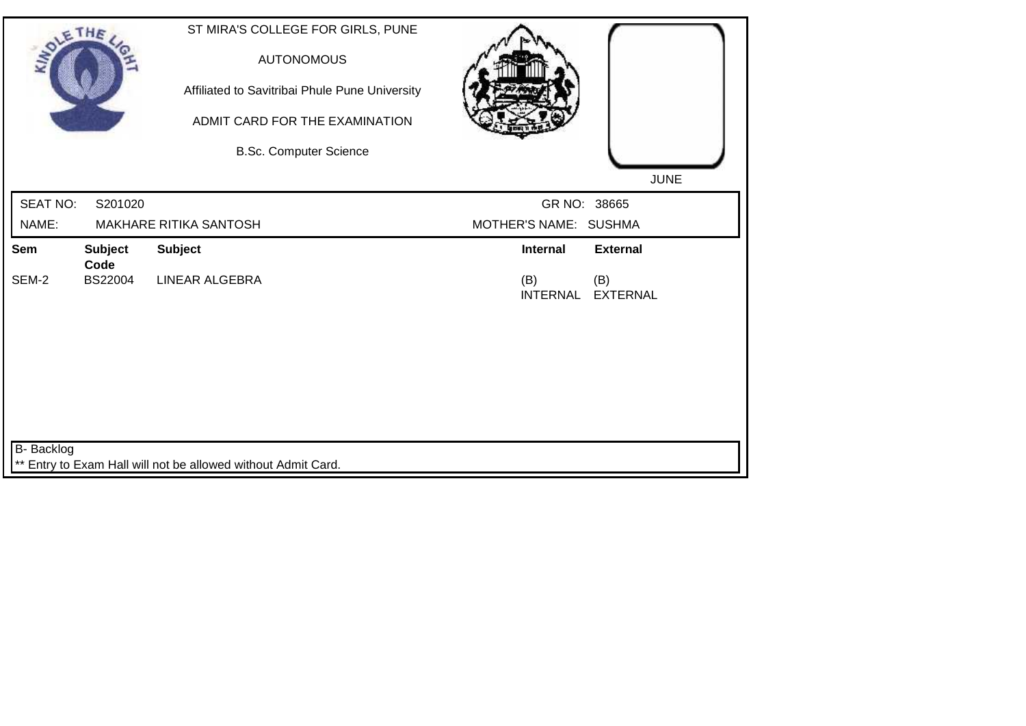| Affiliated to Savitribai Phule Pune University<br>ADMIT CARD FOR THE EXAMINATION<br><b>B.Sc. Computer Science</b> | <b>JUNE</b>                                                                                                         |
|-------------------------------------------------------------------------------------------------------------------|---------------------------------------------------------------------------------------------------------------------|
|                                                                                                                   | GR NO: 38665                                                                                                        |
|                                                                                                                   | MOTHER'S NAME: SUSHMA                                                                                               |
| <b>Subject</b>                                                                                                    | <b>External</b><br>Internal                                                                                         |
| <b>LINEAR ALGEBRA</b>                                                                                             | (B)<br>(B)<br><b>INTERNAL</b><br><b>EXTERNAL</b>                                                                    |
|                                                                                                                   |                                                                                                                     |
|                                                                                                                   | <b>AUTONOMOUS</b><br><b>MAKHARE RITIKA SANTOSH</b><br>** Entry to Exam Hall will not be allowed without Admit Card. |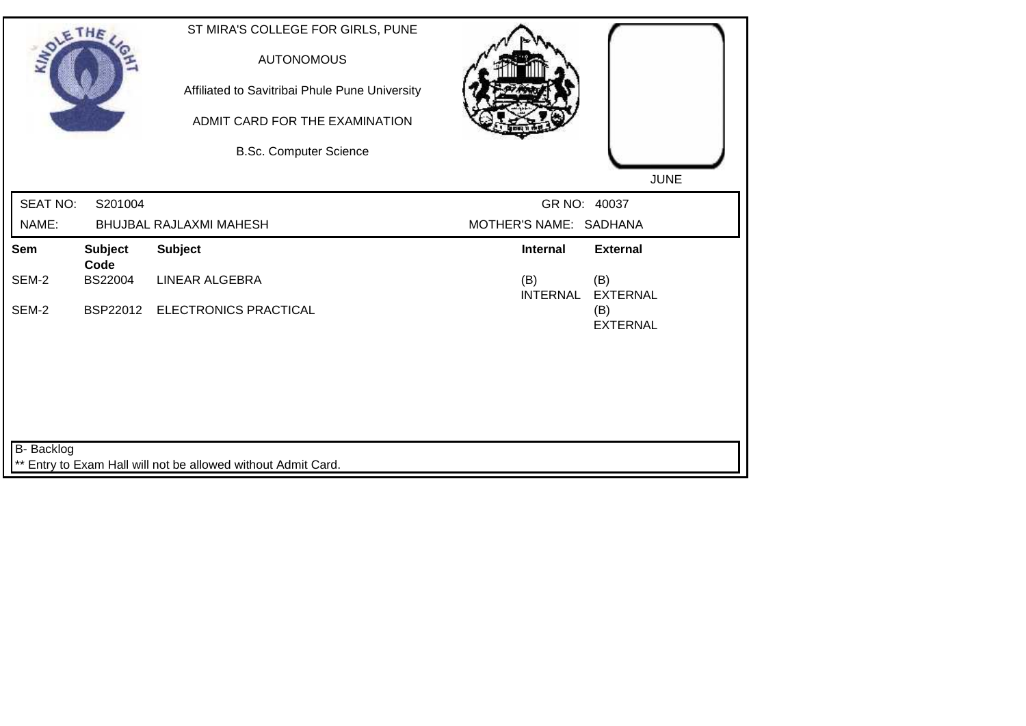| <b>SOLETHE</b>  |                        | ST MIRA'S COLLEGE FOR GIRLS, PUNE<br><b>AUTONOMOUS</b><br>Affiliated to Savitribai Phule Pune University<br>ADMIT CARD FOR THE EXAMINATION<br><b>B.Sc. Computer Science</b> |                        |                        |
|-----------------|------------------------|-----------------------------------------------------------------------------------------------------------------------------------------------------------------------------|------------------------|------------------------|
|                 |                        |                                                                                                                                                                             |                        | <b>JUNE</b>            |
| <b>SEAT NO:</b> | S201004                |                                                                                                                                                                             | GR NO: 40037           |                        |
| NAME:           |                        | BHUJBAL RAJLAXMI MAHESH                                                                                                                                                     | MOTHER'S NAME: SADHANA |                        |
| Sem             | <b>Subject</b><br>Code | <b>Subject</b>                                                                                                                                                              | Internal               | <b>External</b>        |
| SEM-2           | <b>BS22004</b>         | LINEAR ALGEBRA                                                                                                                                                              | (B)<br><b>INTERNAL</b> | (B)<br><b>EXTERNAL</b> |
| SEM-2           |                        | BSP22012 ELECTRONICS PRACTICAL                                                                                                                                              |                        | (B)<br><b>EXTERNAL</b> |
| B- Backlog      |                        |                                                                                                                                                                             |                        |                        |
|                 |                        | Entry to Exam Hall will not be allowed without Admit Card.                                                                                                                  |                        |                        |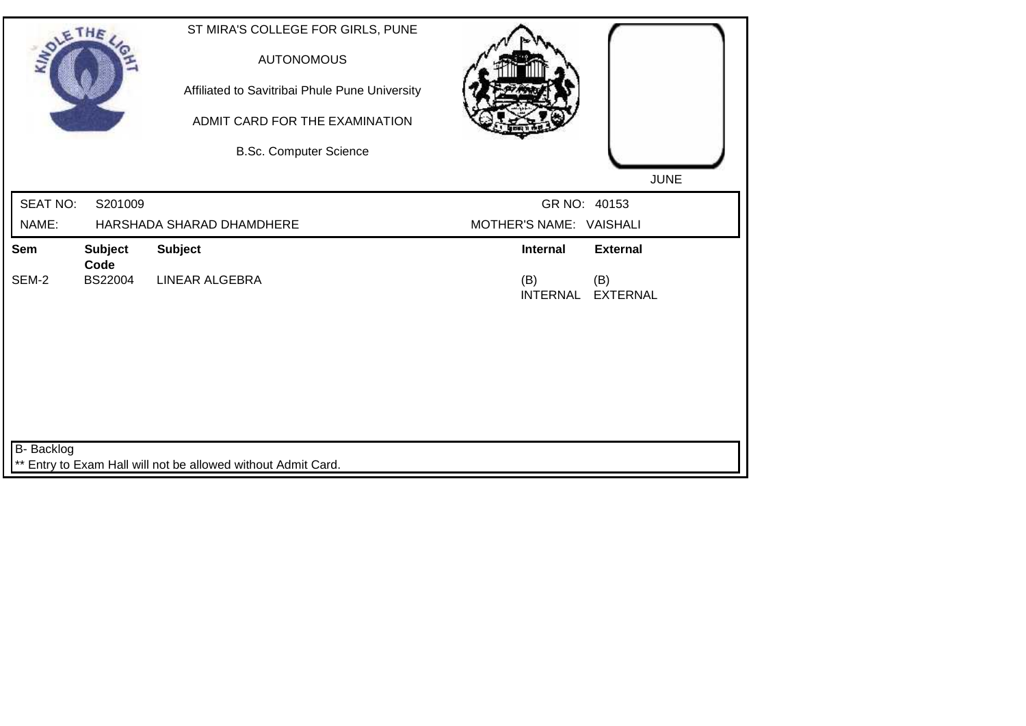| <b>SOLETHE</b>  |                        | ST MIRA'S COLLEGE FOR GIRLS, PUNE<br><b>AUTONOMOUS</b><br>Affiliated to Savitribai Phule Pune University<br>ADMIT CARD FOR THE EXAMINATION<br><b>B.Sc. Computer Science</b> |                                                  |
|-----------------|------------------------|-----------------------------------------------------------------------------------------------------------------------------------------------------------------------------|--------------------------------------------------|
|                 |                        |                                                                                                                                                                             | <b>JUNE</b>                                      |
| <b>SEAT NO:</b> | S201009                |                                                                                                                                                                             | GR NO: 40153                                     |
| NAME:           |                        | HARSHADA SHARAD DHAMDHERE                                                                                                                                                   | MOTHER'S NAME: VAISHALI                          |
| Sem             | <b>Subject</b><br>Code | <b>Subject</b>                                                                                                                                                              | Internal<br><b>External</b>                      |
| SEM-2           | BS22004                | <b>LINEAR ALGEBRA</b>                                                                                                                                                       | (B)<br>(B)<br><b>INTERNAL</b><br><b>EXTERNAL</b> |
|                 |                        |                                                                                                                                                                             |                                                  |
|                 |                        |                                                                                                                                                                             |                                                  |
|                 |                        |                                                                                                                                                                             |                                                  |
|                 |                        |                                                                                                                                                                             |                                                  |
| B- Backlog      |                        |                                                                                                                                                                             |                                                  |
|                 |                        | ** Entry to Exam Hall will not be allowed without Admit Card.                                                                                                               |                                                  |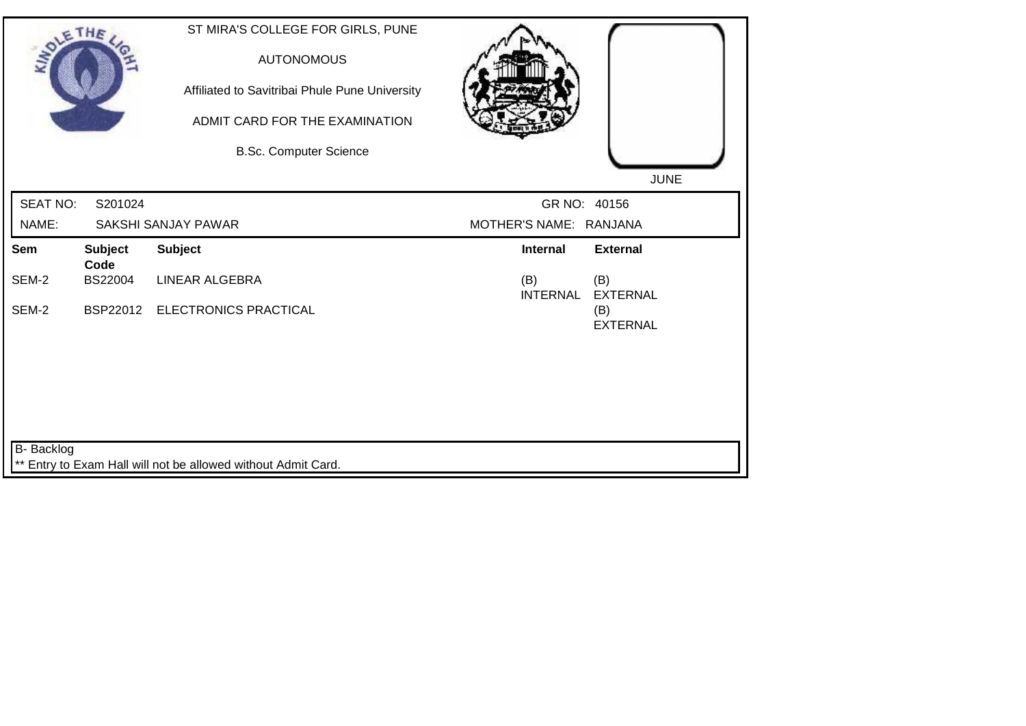| <b>SOLETHE</b>  |                        | ST MIRA'S COLLEGE FOR GIRLS, PUNE<br><b>AUTONOMOUS</b><br>Affiliated to Savitribai Phule Pune University<br>ADMIT CARD FOR THE EXAMINATION<br><b>B.Sc. Computer Science</b> |                        | <b>JUNE</b>            |
|-----------------|------------------------|-----------------------------------------------------------------------------------------------------------------------------------------------------------------------------|------------------------|------------------------|
| <b>SEAT NO:</b> | S201024                |                                                                                                                                                                             | GR NO: 40156           |                        |
| NAME:           |                        | SAKSHI SANJAY PAWAR                                                                                                                                                         | MOTHER'S NAME: RANJANA |                        |
| Sem             | <b>Subject</b><br>Code | <b>Subject</b>                                                                                                                                                              | <b>Internal</b>        | <b>External</b>        |
| SEM-2           | BS22004                | LINEAR ALGEBRA                                                                                                                                                              | (B)<br><b>INTERNAL</b> | (B)<br><b>EXTERNAL</b> |
| SEM-2           |                        | BSP22012 ELECTRONICS PRACTICAL                                                                                                                                              |                        | (B)<br><b>EXTERNAL</b> |
| B- Backlog      |                        |                                                                                                                                                                             |                        |                        |
|                 |                        | Entry to Exam Hall will not be allowed without Admit Card.                                                                                                                  |                        |                        |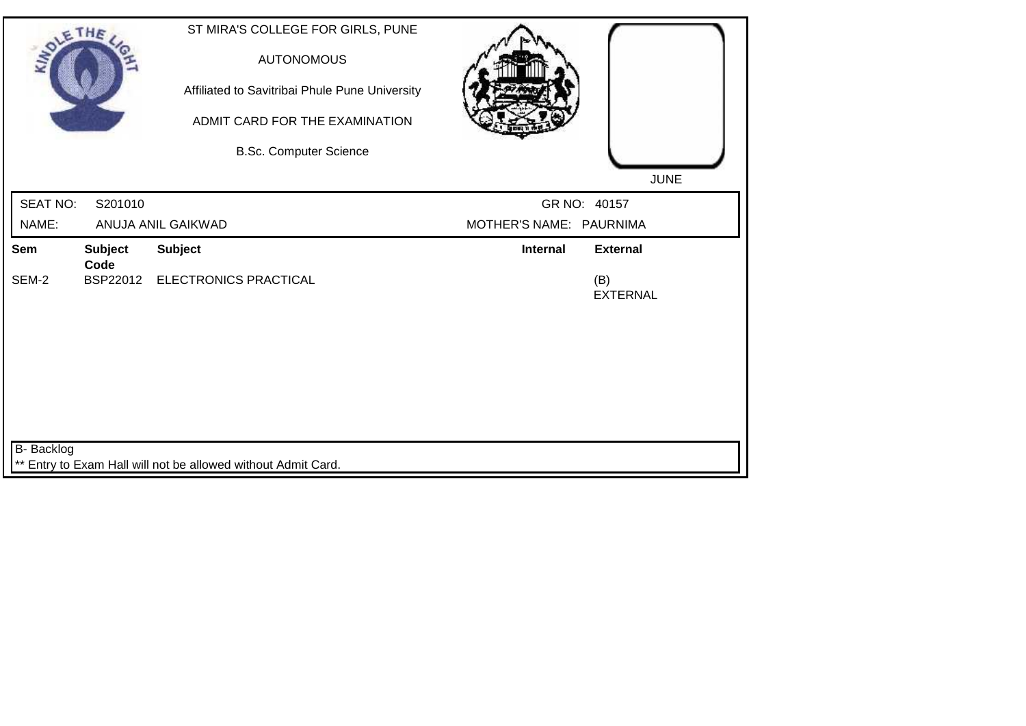| <b>SOLETHE</b>  |                        | ST MIRA'S COLLEGE FOR GIRLS, PUNE<br><b>AUTONOMOUS</b><br>Affiliated to Savitribai Phule Pune University<br>ADMIT CARD FOR THE EXAMINATION |                         |                        |
|-----------------|------------------------|--------------------------------------------------------------------------------------------------------------------------------------------|-------------------------|------------------------|
|                 |                        | <b>B.Sc. Computer Science</b>                                                                                                              |                         |                        |
|                 |                        |                                                                                                                                            |                         | <b>JUNE</b>            |
| <b>SEAT NO:</b> | S201010                |                                                                                                                                            |                         | GR NO: 40157           |
| NAME:           |                        | ANUJA ANIL GAIKWAD                                                                                                                         | MOTHER'S NAME: PAURNIMA |                        |
| Sem             | <b>Subject</b><br>Code | <b>Subject</b>                                                                                                                             | Internal                | <b>External</b>        |
| SEM-2           |                        | BSP22012 ELECTRONICS PRACTICAL                                                                                                             |                         | (B)<br><b>EXTERNAL</b> |
|                 |                        |                                                                                                                                            |                         |                        |
|                 |                        |                                                                                                                                            |                         |                        |
|                 |                        |                                                                                                                                            |                         |                        |
|                 |                        |                                                                                                                                            |                         |                        |
| B- Backlog      |                        |                                                                                                                                            |                         |                        |
|                 |                        | ** Entry to Exam Hall will not be allowed without Admit Card.                                                                              |                         |                        |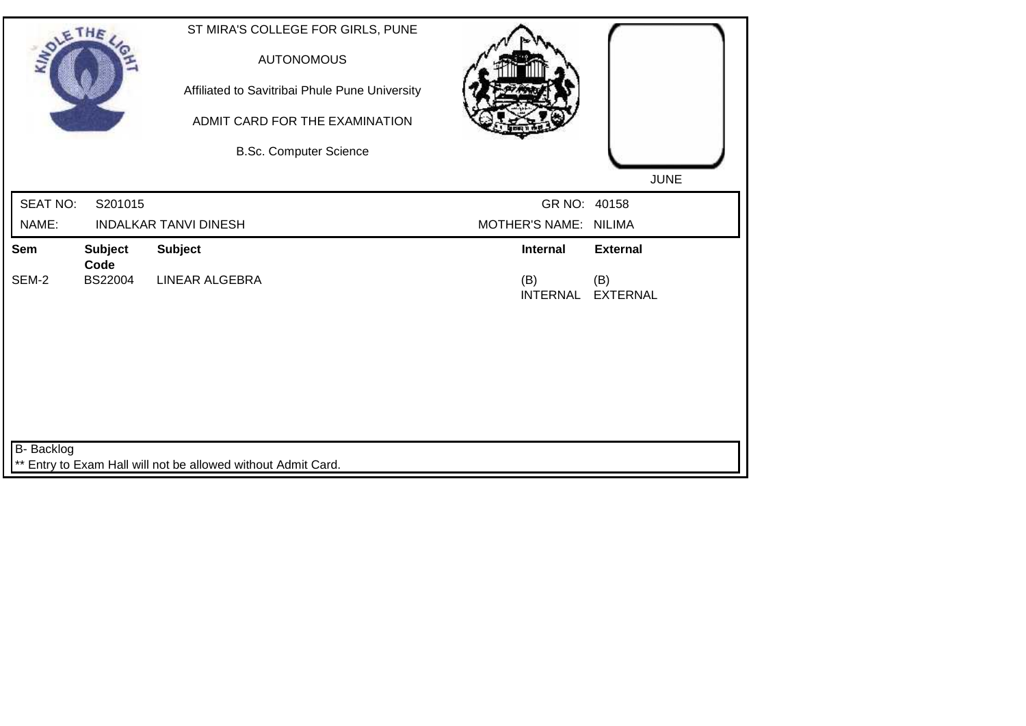| <b>SOLETHE</b>    |                 | ST MIRA'S COLLEGE FOR GIRLS, PUNE<br><b>AUTONOMOUS</b><br>Affiliated to Savitribai Phule Pune University<br>ADMIT CARD FOR THE EXAMINATION<br><b>B.Sc. Computer Science</b> |                       | <b>JUNE</b>              |
|-------------------|-----------------|-----------------------------------------------------------------------------------------------------------------------------------------------------------------------------|-----------------------|--------------------------|
| <b>SEAT NO:</b>   | S201015         |                                                                                                                                                                             | GR NO: 40158          |                          |
| NAME:             |                 | <b>INDALKAR TANVI DINESH</b>                                                                                                                                                | MOTHER'S NAME: NILIMA |                          |
| Sem               | <b>Subject</b>  | <b>Subject</b>                                                                                                                                                              | <b>Internal</b>       | <b>External</b>          |
| SEM-2             | Code<br>BS22004 | <b>LINEAR ALGEBRA</b>                                                                                                                                                       | (B)                   | (B)<br>INTERNAL EXTERNAL |
| <b>B-</b> Backlog |                 | ** Entry to Exam Hall will not be allowed without Admit Card.                                                                                                               |                       |                          |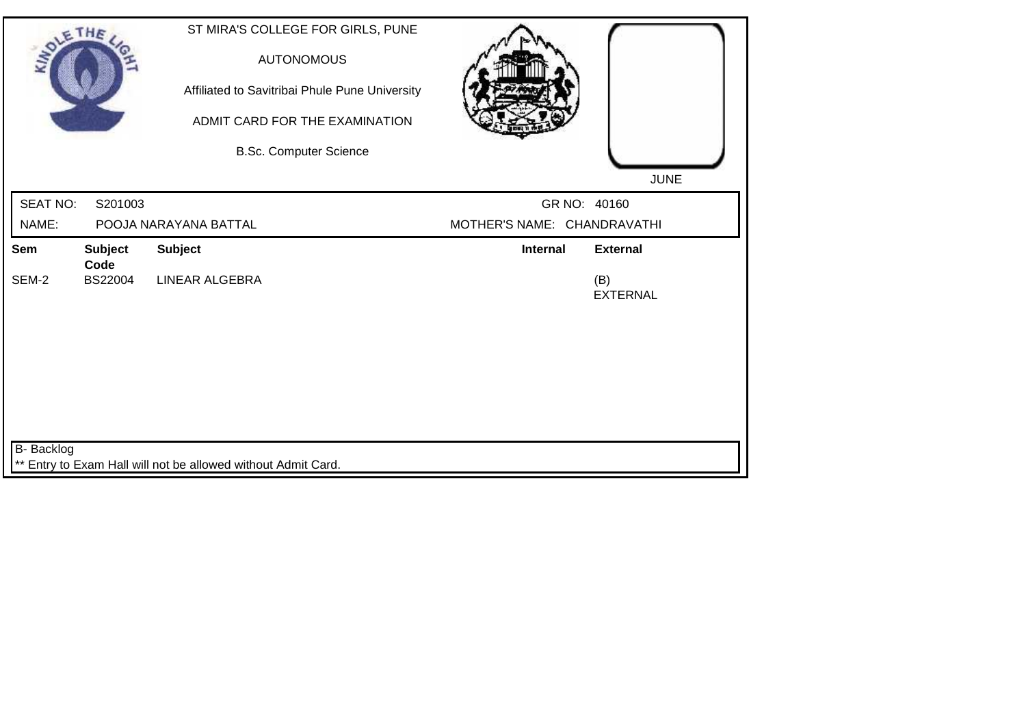| <b>SOLETHE</b>  |                 |                                                               | ST MIRA'S COLLEGE FOR GIRLS, PUNE<br><b>AUTONOMOUS</b><br>Affiliated to Savitribai Phule Pune University<br>ADMIT CARD FOR THE EXAMINATION<br><b>B.Sc. Computer Science</b> |                             | <b>JUNE</b>            |
|-----------------|-----------------|---------------------------------------------------------------|-----------------------------------------------------------------------------------------------------------------------------------------------------------------------------|-----------------------------|------------------------|
| <b>SEAT NO:</b> | S201003         |                                                               |                                                                                                                                                                             |                             | GR NO: 40160           |
| NAME:           |                 | POOJA NARAYANA BATTAL                                         |                                                                                                                                                                             | MOTHER'S NAME: CHANDRAVATHI |                        |
| Sem             | <b>Subject</b>  | <b>Subject</b>                                                |                                                                                                                                                                             | <b>Internal</b>             | <b>External</b>        |
| SEM-2           | Code<br>BS22004 | <b>LINEAR ALGEBRA</b>                                         |                                                                                                                                                                             |                             | (B)<br><b>EXTERNAL</b> |
|                 |                 |                                                               |                                                                                                                                                                             |                             |                        |
|                 |                 |                                                               |                                                                                                                                                                             |                             |                        |
| B- Backlog      |                 | ** Entry to Exam Hall will not be allowed without Admit Card. |                                                                                                                                                                             |                             |                        |
|                 |                 |                                                               |                                                                                                                                                                             |                             |                        |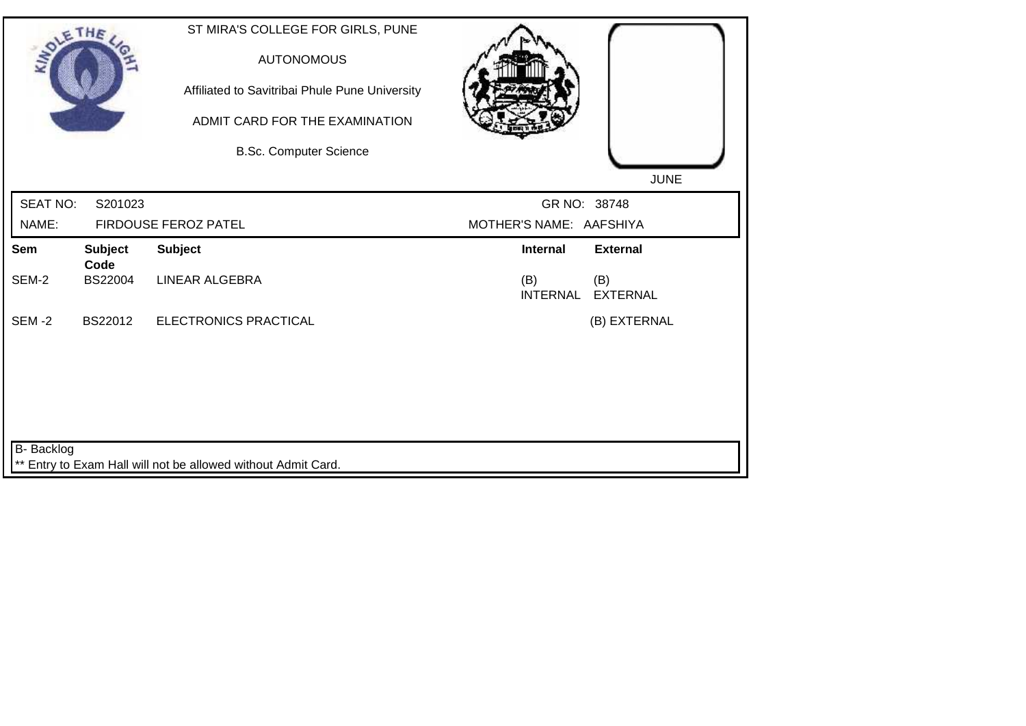| <b>SOLETHE</b>           |                        | ST MIRA'S COLLEGE FOR GIRLS, PUNE<br><b>AUTONOMOUS</b><br>Affiliated to Savitribai Phule Pune University<br>ADMIT CARD FOR THE EXAMINATION<br><b>B.Sc. Computer Science</b> |                                         | <b>JUNE</b>            |
|--------------------------|------------------------|-----------------------------------------------------------------------------------------------------------------------------------------------------------------------------|-----------------------------------------|------------------------|
| <b>SEAT NO:</b><br>NAME: | S201023                | FIRDOUSE FEROZ PATEL                                                                                                                                                        | GR NO: 38748<br>MOTHER'S NAME: AAFSHIYA |                        |
| Sem                      | <b>Subject</b>         | <b>Subject</b>                                                                                                                                                              | <b>Internal</b>                         | <b>External</b>        |
| SEM-2                    | Code<br><b>BS22004</b> | LINEAR ALGEBRA                                                                                                                                                              | (B)<br><b>INTERNAL</b>                  | (B)<br><b>EXTERNAL</b> |
| <b>SEM-2</b>             | BS22012                | ELECTRONICS PRACTICAL                                                                                                                                                       |                                         | (B) EXTERNAL           |
|                          |                        |                                                                                                                                                                             |                                         |                        |
|                          |                        |                                                                                                                                                                             |                                         |                        |
|                          |                        |                                                                                                                                                                             |                                         |                        |
| <b>B-</b> Backlog        |                        |                                                                                                                                                                             |                                         |                        |
|                          |                        | ** Entry to Exam Hall will not be allowed without Admit Card.                                                                                                               |                                         |                        |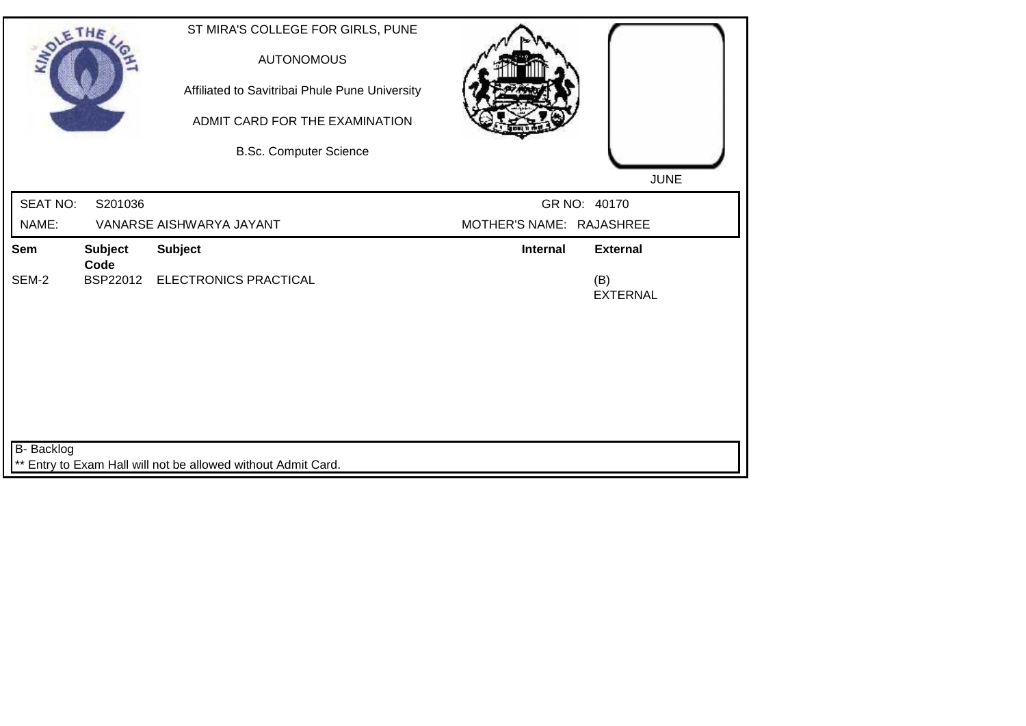| <b>SOLETHE</b>  |                | ST MIRA'S COLLEGE FOR GIRLS, PUNE<br><b>AUTONOMOUS</b><br>Affiliated to Savitribai Phule Pune University<br>ADMIT CARD FOR THE EXAMINATION<br><b>B.Sc. Computer Science</b> |                          | <b>JUNE</b>            |
|-----------------|----------------|-----------------------------------------------------------------------------------------------------------------------------------------------------------------------------|--------------------------|------------------------|
| <b>SEAT NO:</b> | S201036        |                                                                                                                                                                             |                          | GR NO: 40170           |
| NAME:           |                | VANARSE AISHWARYA JAYANT                                                                                                                                                    | MOTHER'S NAME: RAJASHREE |                        |
| Sem             | <b>Subject</b> | <b>Subject</b>                                                                                                                                                              | Internal                 | <b>External</b>        |
| SEM-2           | Code           | BSP22012 ELECTRONICS PRACTICAL                                                                                                                                              |                          | (B)<br><b>EXTERNAL</b> |
|                 |                |                                                                                                                                                                             |                          |                        |
|                 |                |                                                                                                                                                                             |                          |                        |
|                 |                |                                                                                                                                                                             |                          |                        |
|                 |                |                                                                                                                                                                             |                          |                        |
| B- Backlog      |                |                                                                                                                                                                             |                          |                        |
|                 |                | ** Entry to Exam Hall will not be allowed without Admit Card.                                                                                                               |                          |                        |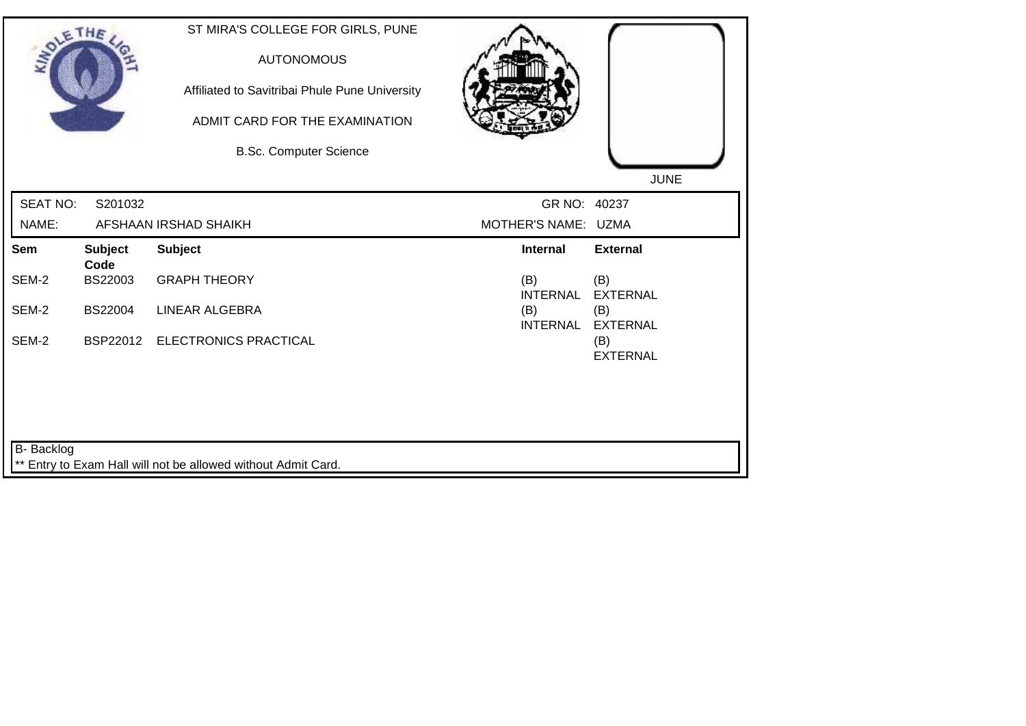| <b>SOLETHE</b>    |                                   | ST MIRA'S COLLEGE FOR GIRLS, PUNE<br><b>AUTONOMOUS</b><br>Affiliated to Savitribai Phule Pune University<br>ADMIT CARD FOR THE EXAMINATION<br><b>B.Sc. Computer Science</b> |                                           | <b>JUNE</b>                               |
|-------------------|-----------------------------------|-----------------------------------------------------------------------------------------------------------------------------------------------------------------------------|-------------------------------------------|-------------------------------------------|
| <b>SEAT NO:</b>   | S201032                           |                                                                                                                                                                             | GR NO: 40237                              |                                           |
| NAME:             |                                   | AFSHAAN IRSHAD SHAIKH                                                                                                                                                       | MOTHER'S NAME: UZMA                       |                                           |
| Sem<br>SEM-2      | <b>Subject</b><br>Code<br>BS22003 | <b>Subject</b><br><b>GRAPH THEORY</b>                                                                                                                                       | <b>Internal</b><br>(B)                    | <b>External</b><br>(B)                    |
| SEM-2             | BS22004                           | <b>LINEAR ALGEBRA</b>                                                                                                                                                       | <b>INTERNAL</b><br>(B)<br><b>INTERNAL</b> | <b>EXTERNAL</b><br>(B)<br><b>EXTERNAL</b> |
| SEM-2             |                                   | BSP22012 ELECTRONICS PRACTICAL                                                                                                                                              |                                           | (B)<br><b>EXTERNAL</b>                    |
|                   |                                   |                                                                                                                                                                             |                                           |                                           |
| <b>B-</b> Backlog |                                   | ** Entry to Exam Hall will not be allowed without Admit Card.                                                                                                               |                                           |                                           |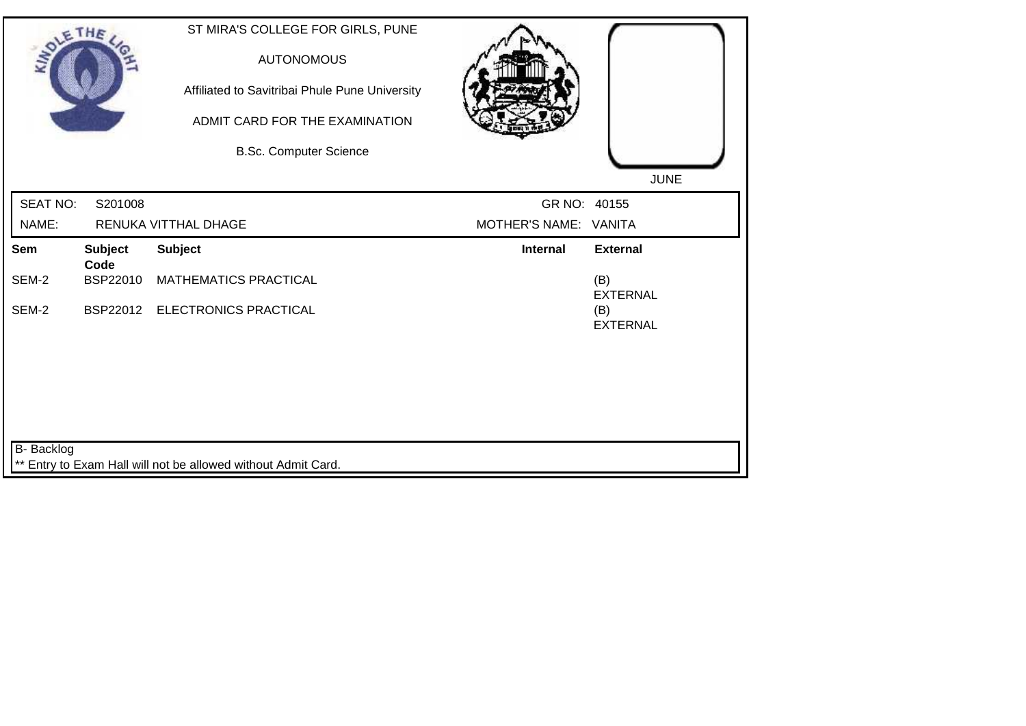| <b>SOLETHE</b>    |                        | ST MIRA'S COLLEGE FOR GIRLS, PUNE<br><b>AUTONOMOUS</b><br>Affiliated to Savitribai Phule Pune University<br>ADMIT CARD FOR THE EXAMINATION<br><b>B.Sc. Computer Science</b> |                       | <b>JUNE</b>            |
|-------------------|------------------------|-----------------------------------------------------------------------------------------------------------------------------------------------------------------------------|-----------------------|------------------------|
| <b>SEAT NO:</b>   | S201008                |                                                                                                                                                                             | GR NO: 40155          |                        |
| NAME:             |                        | RENUKA VITTHAL DHAGE                                                                                                                                                        | MOTHER'S NAME: VANITA |                        |
| <b>Sem</b>        | <b>Subject</b><br>Code | <b>Subject</b>                                                                                                                                                              | <b>Internal</b>       | <b>External</b>        |
| SEM-2             | BSP22010               | <b>MATHEMATICS PRACTICAL</b>                                                                                                                                                |                       | (B)<br><b>EXTERNAL</b> |
| SEM-2             |                        | BSP22012 ELECTRONICS PRACTICAL                                                                                                                                              |                       | (B)<br><b>EXTERNAL</b> |
|                   |                        |                                                                                                                                                                             |                       |                        |
|                   |                        |                                                                                                                                                                             |                       |                        |
| <b>B-</b> Backlog |                        |                                                                                                                                                                             |                       |                        |
|                   |                        | ** Entry to Exam Hall will not be allowed without Admit Card.                                                                                                               |                       |                        |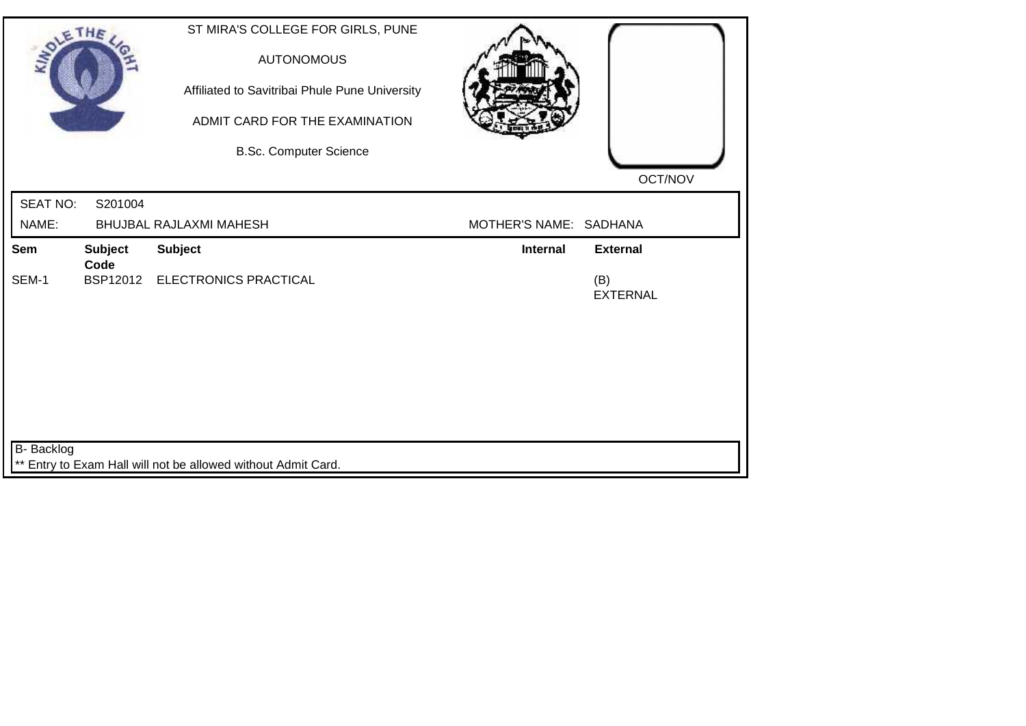| OLETHE          |                                                               | ST MIRA'S COLLEGE FOR GIRLS, PUNE<br><b>AUTONOMOUS</b> |                                    |  |  |
|-----------------|---------------------------------------------------------------|--------------------------------------------------------|------------------------------------|--|--|
|                 |                                                               | Affiliated to Savitribai Phule Pune University         |                                    |  |  |
|                 |                                                               | ADMIT CARD FOR THE EXAMINATION                         |                                    |  |  |
|                 |                                                               | <b>B.Sc. Computer Science</b>                          |                                    |  |  |
|                 |                                                               |                                                        | OCT/NOV                            |  |  |
| <b>SEAT NO:</b> | S201004                                                       |                                                        |                                    |  |  |
| NAME:           |                                                               | BHUJBAL RAJLAXMI MAHESH                                | MOTHER'S NAME: SADHANA             |  |  |
| Sem             | <b>Subject</b><br>Code                                        | <b>Subject</b>                                         | <b>Internal</b><br><b>External</b> |  |  |
| SEM-1           |                                                               | BSP12012 ELECTRONICS PRACTICAL                         | (B)<br><b>EXTERNAL</b>             |  |  |
|                 |                                                               |                                                        |                                    |  |  |
|                 |                                                               |                                                        |                                    |  |  |
|                 |                                                               |                                                        |                                    |  |  |
|                 |                                                               |                                                        |                                    |  |  |
|                 |                                                               |                                                        |                                    |  |  |
| B- Backlog      |                                                               |                                                        |                                    |  |  |
|                 | ** Entry to Exam Hall will not be allowed without Admit Card. |                                                        |                                    |  |  |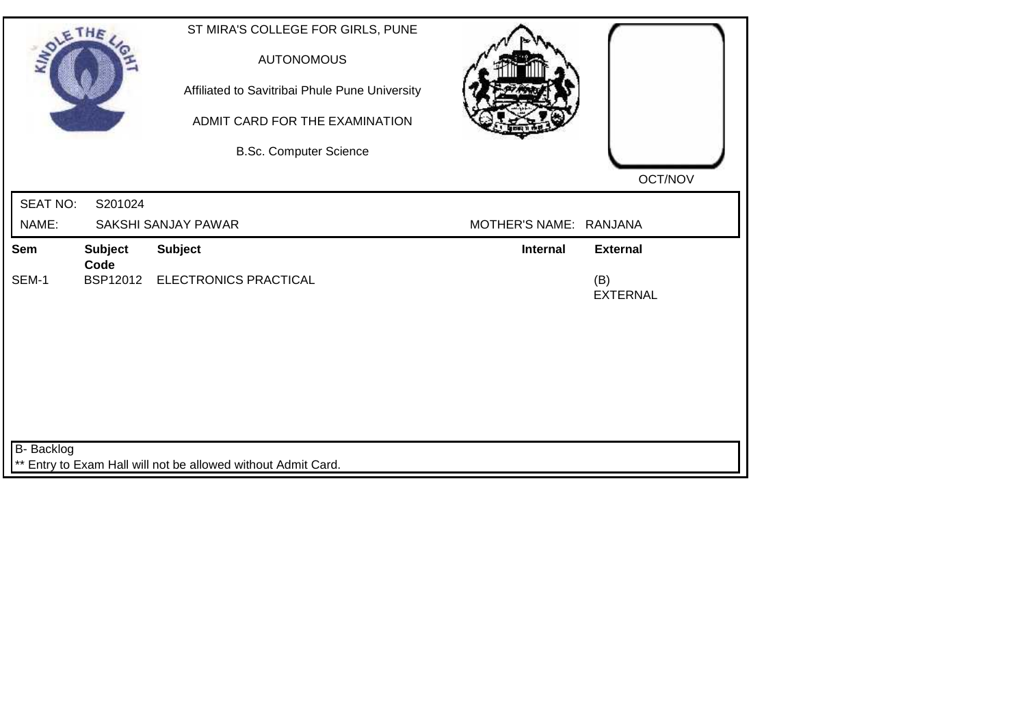| <b>SOLETHE</b>                                                |                        | ST MIRA'S COLLEGE FOR GIRLS, PUNE<br><b>AUTONOMOUS</b><br>Affiliated to Savitribai Phule Pune University<br>ADMIT CARD FOR THE EXAMINATION |                        |                        |  |  |
|---------------------------------------------------------------|------------------------|--------------------------------------------------------------------------------------------------------------------------------------------|------------------------|------------------------|--|--|
|                                                               |                        | <b>B.Sc. Computer Science</b>                                                                                                              |                        | OCT/NOV                |  |  |
| <b>SEAT NO:</b>                                               | S201024                |                                                                                                                                            |                        |                        |  |  |
| NAME:                                                         |                        | SAKSHI SANJAY PAWAR                                                                                                                        | MOTHER'S NAME: RANJANA |                        |  |  |
| <b>Sem</b>                                                    | <b>Subject</b><br>Code | <b>Subject</b>                                                                                                                             | <b>Internal</b>        | <b>External</b>        |  |  |
| SEM-1                                                         |                        | BSP12012 ELECTRONICS PRACTICAL                                                                                                             |                        | (B)<br><b>EXTERNAL</b> |  |  |
|                                                               |                        |                                                                                                                                            |                        |                        |  |  |
|                                                               |                        |                                                                                                                                            |                        |                        |  |  |
|                                                               |                        |                                                                                                                                            |                        |                        |  |  |
|                                                               |                        |                                                                                                                                            |                        |                        |  |  |
|                                                               |                        |                                                                                                                                            |                        |                        |  |  |
| B- Backlog                                                    |                        |                                                                                                                                            |                        |                        |  |  |
| ** Entry to Exam Hall will not be allowed without Admit Card. |                        |                                                                                                                                            |                        |                        |  |  |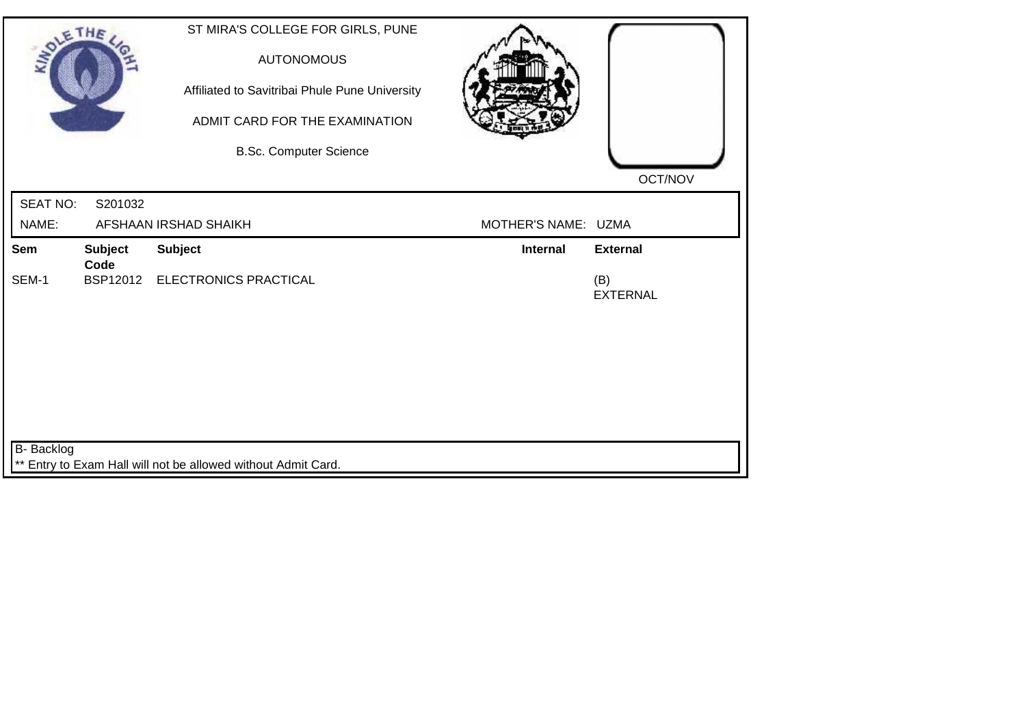| <b>SOLETHE</b>                                                |                        | ST MIRA'S COLLEGE FOR GIRLS, PUNE<br><b>AUTONOMOUS</b><br>Affiliated to Savitribai Phule Pune University<br>ADMIT CARD FOR THE EXAMINATION<br><b>B.Sc. Computer Science</b> |                     |                                           |  |  |
|---------------------------------------------------------------|------------------------|-----------------------------------------------------------------------------------------------------------------------------------------------------------------------------|---------------------|-------------------------------------------|--|--|
|                                                               |                        |                                                                                                                                                                             |                     | OCT/NOV                                   |  |  |
| <b>SEAT NO:</b>                                               | S201032                |                                                                                                                                                                             |                     |                                           |  |  |
| NAME:                                                         |                        | AFSHAAN IRSHAD SHAIKH                                                                                                                                                       | MOTHER'S NAME: UZMA |                                           |  |  |
| <b>Sem</b><br>SEM-1                                           | <b>Subject</b><br>Code | <b>Subject</b><br>BSP12012 ELECTRONICS PRACTICAL                                                                                                                            | <b>Internal</b>     | <b>External</b><br>(B)<br><b>EXTERNAL</b> |  |  |
| B- Backlog                                                    |                        |                                                                                                                                                                             |                     |                                           |  |  |
| ** Entry to Exam Hall will not be allowed without Admit Card. |                        |                                                                                                                                                                             |                     |                                           |  |  |